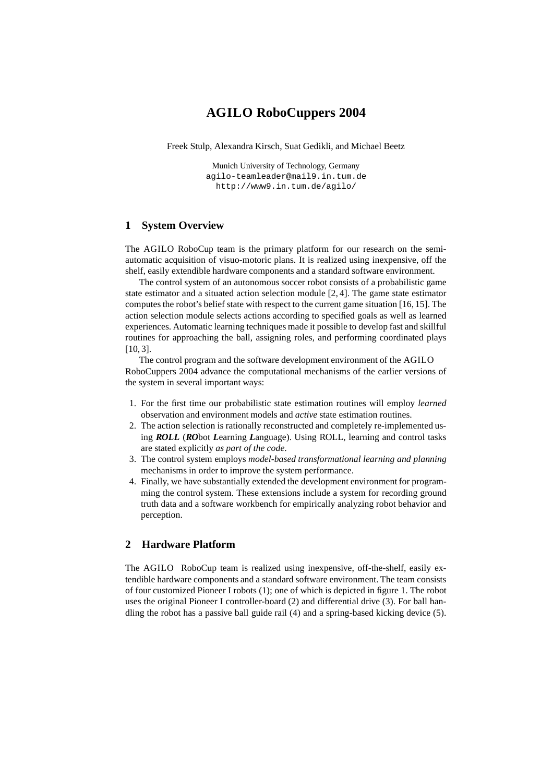# **AGILO RoboCuppers 2004**

Freek Stulp, Alexandra Kirsch, Suat Gedikli, and Michael Beetz

Munich University of Technology, Germany agilo-teamleader@mail9.in.tum.de http://www9.in.tum.de/agilo/

## **1 System Overview**

The AGILO RoboCup team is the primary platform for our research on the semiautomatic acquisition of visuo-motoric plans. It is realized using inexpensive, off the shelf, easily extendible hardware components and a standard software environment.

The control system of an autonomous soccer robot consists of a probabilistic game state estimator and a situated action selection module [2, 4]. The game state estimator computes the robot's belief state with respect to the current game situation [16, 15]. The action selection module selects actions according to specified goals as well as learned experiences. Automatic learning techniques made it possible to develop fast and skillful routines for approaching the ball, assigning roles, and performing coordinated plays [10, 3].

The control program and the software development environment of the AGILO RoboCuppers 2004 advance the computational mechanisms of the earlier versions of the system in several important ways:

- 1. For the first time our probabilistic state estimation routines will employ *learned* observation and environment models and *active* state estimation routines.
- 2. The action selection is rationally reconstructed and completely re-implemented using *ROLL* (*RO*bot *L*earning *L*anguage). Using ROLL, learning and control tasks are stated explicitly *as part of the code*.
- 3. The control system employs *model-based transformational learning and planning* mechanisms in order to improve the system performance.
- 4. Finally, we have substantially extended the development environment for programming the control system. These extensions include a system for recording ground truth data and a software workbench for empirically analyzing robot behavior and perception.

# **2 Hardware Platform**

The AGILO RoboCup team is realized using inexpensive, off-the-shelf, easily extendible hardware components and a standard software environment. The team consists of four customized Pioneer I robots (1); one of which is depicted in figure 1. The robot uses the original Pioneer I controller-board (2) and differential drive (3). For ball handling the robot has a passive ball guide rail (4) and a spring-based kicking device (5).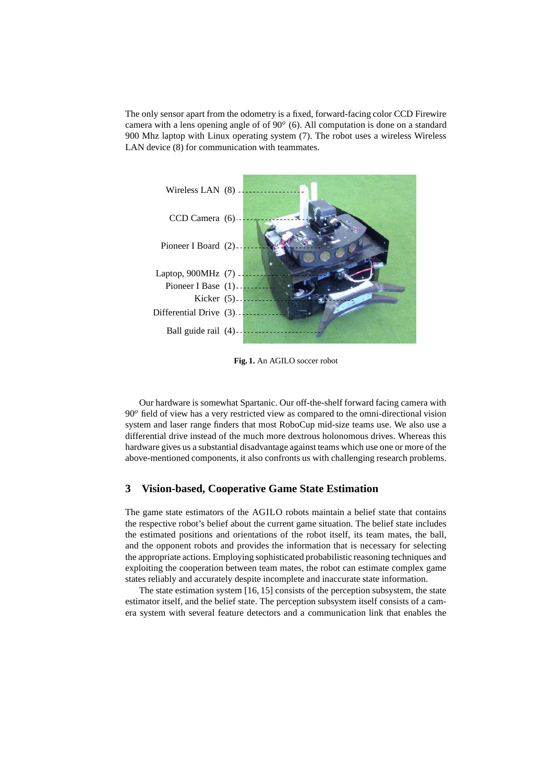The only sensor apart from the odometry is a fixed, forward-facing color CCD Firewire camera with a lens opening angle of of  $90^{\circ}$  (6). All computation is done on a standard 900 Mhz laptop with Linux operating system (7). The robot uses a wireless Wireless LAN device (8) for communication with teammates.



**Fig. 1.** An AGILO soccer robot

Our hardware is somewhat Spartanic. Our off-the-shelf forward facing camera with 90 field of view has a very restricted view as compared to the omni-directional vision system and laser range finders that most RoboCup mid-size teams use. We also use a differential drive instead of the much more dextrous holonomous drives. Whereas this hardware gives us a substantial disadvantage against teams which use one or more of the above-mentioned components, it also confronts us with challenging research problems.

## **3 Vision-based, Cooperative Game State Estimation**

The game state estimators of the AGILO robots maintain a belief state that contains the respective robot's belief about the current game situation. The belief state includes the estimated positions and orientations of the robot itself, its team mates, the ball, and the opponent robots and provides the information that is necessary for selecting the appropriate actions. Employing sophisticated probabilistic reasoning techniques and exploiting the cooperation between team mates, the robot can estimate complex game states reliably and accurately despite incomplete and inaccurate state information.

The state estimation system [16, 15] consists of the perception subsystem, the state estimator itself, and the belief state. The perception subsystem itself consists of a camera system with several feature detectors and a communication link that enables the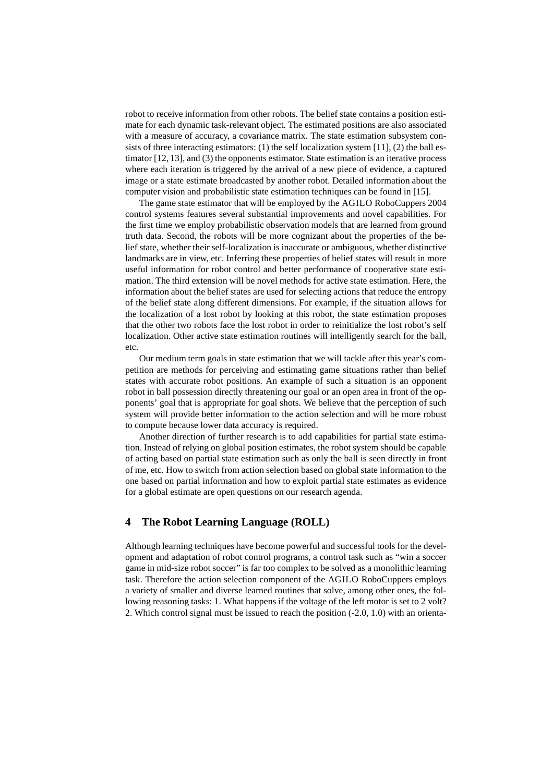robot to receive information from other robots. The belief state contains a position estimate for each dynamic task-relevant object. The estimated positions are also associated with a measure of accuracy, a covariance matrix. The state estimation subsystem consists of three interacting estimators: (1) the self localization system [11], (2) the ball estimator [12, 13], and (3) the opponents estimator. State estimation is an iterative process where each iteration is triggered by the arrival of a new piece of evidence, a captured image or a state estimate broadcasted by another robot. Detailed information about the computer vision and probabilistic state estimation techniques can be found in [15].

The game state estimator that will be employed by the AGILO RoboCuppers 2004 control systems features several substantial improvements and novel capabilities. For the first time we employ probabilistic observation models that are learned from ground truth data. Second, the robots will be more cognizant about the properties of the belief state, whether their self-localization is inaccurate or ambiguous, whether distinctive landmarks are in view, etc. Inferring these properties of belief states will result in more useful information for robot control and better performance of cooperative state estimation. The third extension will be novel methods for active state estimation. Here, the information about the belief states are used for selecting actions that reduce the entropy of the belief state along different dimensions. For example, if the situation allows for the localization of a lost robot by looking at this robot, the state estimation proposes that the other two robots face the lost robot in order to reinitialize the lost robot's self localization. Other active state estimation routines will intelligently search for the ball, etc.

Our medium term goals in state estimation that we will tackle after this year's competition are methods for perceiving and estimating game situations rather than belief states with accurate robot positions. An example of such a situation is an opponent robot in ball possession directly threatening our goal or an open area in front of the opponents' goal that is appropriate for goal shots. We believe that the perception of such system will provide better information to the action selection and will be more robust to compute because lower data accuracy is required.

Another direction of further research is to add capabilities for partial state estimation. Instead of relying on global position estimates, the robot system should be capable of acting based on partial state estimation such as only the ball is seen directly in front of me, etc. How to switch from action selection based on global state information to the one based on partial information and how to exploit partial state estimates as evidence for a global estimate are open questions on our research agenda.

# **4 The Robot Learning Language (ROLL)**

Although learning techniques have become powerful and successful tools for the development and adaptation of robot control programs, a control task such as "win a soccer game in mid-size robot soccer" is far too complex to be solved as a monolithic learning task. Therefore the action selection component of the AGILO RoboCuppers employs a variety of smaller and diverse learned routines that solve, among other ones, the following reasoning tasks: 1. What happens if the voltage of the left motor is set to 2 volt? 2. Which control signal must be issued to reach the position (-2.0, 1.0) with an orienta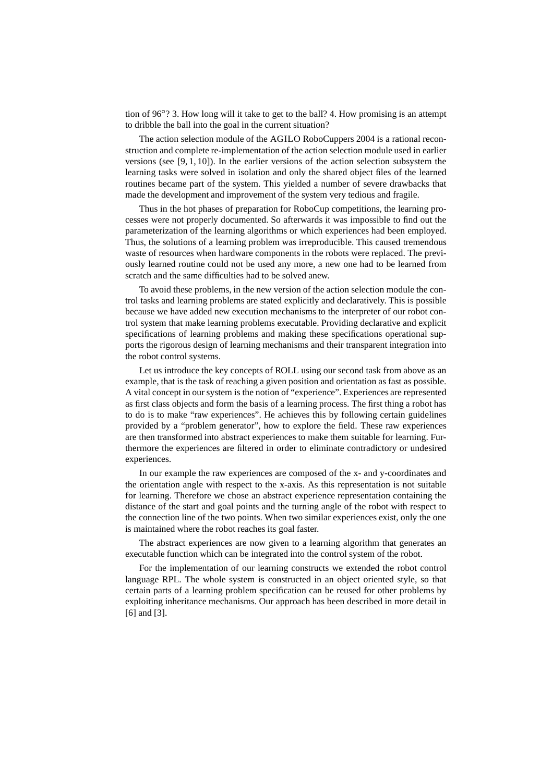tion of 96 ? 3. How long will it take to get to the ball? 4. How promising is an attempt to dribble the ball into the goal in the current situation?

The action selection module of the AGILO RoboCuppers 2004 is a rational reconstruction and complete re-implementation of the action selection module used in earlier versions (see  $[9, 1, 10]$ ). In the earlier versions of the action selection subsystem the learning tasks were solved in isolation and only the shared object files of the learned routines became part of the system. This yielded a number of severe drawbacks that made the development and improvement of the system very tedious and fragile.

Thus in the hot phases of preparation for RoboCup competitions, the learning processes were not properly documented. So afterwards it was impossible to find out the parameterization of the learning algorithms or which experiences had been employed. Thus, the solutions of a learning problem was irreproducible. This caused tremendous waste of resources when hardware components in the robots were replaced. The previously learned routine could not be used any more, a new one had to be learned from scratch and the same difficulties had to be solved anew.

To avoid these problems, in the new version of the action selection module the control tasks and learning problems are stated explicitly and declaratively. This is possible because we have added new execution mechanisms to the interpreter of our robot control system that make learning problems executable. Providing declarative and explicit specifications of learning problems and making these specifications operational supports the rigorous design of learning mechanisms and their transparent integration into the robot control systems.

Let us introduce the key concepts of ROLL using our second task from above as an example, that is the task of reaching a given position and orientation as fast as possible. A vital concept in our system is the notion of "experience". Experiences are represented as first class objects and form the basis of a learning process. The first thing a robot has to do is to make "raw experiences". He achieves this by following certain guidelines provided by a "problem generator", how to explore the field. These raw experiences are then transformed into abstract experiences to make them suitable for learning. Furthermore the experiences are filtered in order to eliminate contradictory or undesired experiences.

In our example the raw experiences are composed of the x- and y-coordinates and the orientation angle with respect to the x-axis. As this representation is not suitable for learning. Therefore we chose an abstract experience representation containing the distance of the start and goal points and the turning angle of the robot with respect to the connection line of the two points. When two similar experiences exist, only the one is maintained where the robot reaches its goal faster.

The abstract experiences are now given to a learning algorithm that generates an executable function which can be integrated into the control system of the robot.

For the implementation of our learning constructs we extended the robot control language RPL. The whole system is constructed in an object oriented style, so that certain parts of a learning problem specification can be reused for other problems by exploiting inheritance mechanisms. Our approach has been described in more detail in [6] and [3].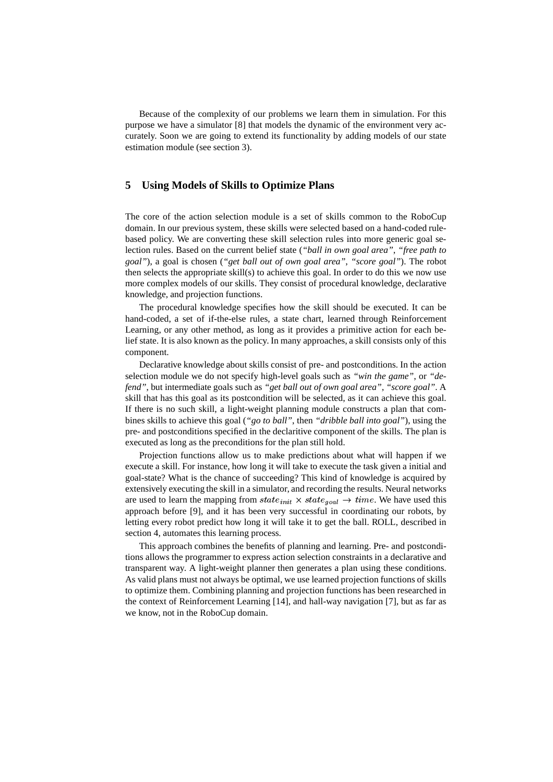Because of the complexity of our problems we learn them in simulation. For this purpose we have a simulator [8] that models the dynamic of the environment very accurately. Soon we are going to extend its functionality by adding models of our state estimation module (see section 3).

## **5 Using Models of Skills to Optimize Plans**

The core of the action selection module is a set of skills common to the RoboCup domain. In our previous system, these skills were selected based on a hand-coded rulebased policy. We are converting these skill selection rules into more generic goal selection rules. Based on the current belief state (*"ball in own goal area"*, *"free path to goal"*), a goal is chosen (*"get ball out of own goal area"*, *"score goal"*). The robot then selects the appropriate skill(s) to achieve this goal. In order to do this we now use more complex models of our skills. They consist of procedural knowledge, declarative knowledge, and projection functions.

The procedural knowledge specifies how the skill should be executed. It can be hand-coded, a set of if-the-else rules, a state chart, learned through Reinforcement Learning, or any other method, as long as it provides a primitive action for each belief state. It is also known as the policy. In many approaches, a skill consists only of this component.

Declarative knowledge about skills consist of pre- and postconditions. In the action selection module we do not specify high-level goals such as *"win the game"*, or *"defend"*, but intermediate goals such as *"get ball out of own goal area"*, *"score goal"*. A skill that has this goal as its postcondition will be selected, as it can achieve this goal. If there is no such skill, a light-weight planning module constructs a plan that combines skills to achieve this goal (*"go to ball"*, then *"dribble ball into goal"*), using the pre- and postconditions specified in the declaritive component of the skills. The plan is executed as long as the preconditions for the plan still hold.

Projection functions allow us to make predictions about what will happen if we execute a skill. For instance, how long it will take to execute the task given a initial and goal-state? What is the chance of succeeding? This kind of knowledge is acquired by extensively executing the skill in a simulator, and recording the results. Neural networks are used to learn the mapping from  $state_{init} \times state_{goal} \rightarrow time$ . We have used this approach before [9], and it has been very successful in coordinating our robots, by letting every robot predict how long it will take it to get the ball. ROLL, described in section 4, automates this learning process.

This approach combines the benefits of planning and learning. Pre- and postconditions allows the programmer to express action selection constraints in a declarative and transparent way. A light-weight planner then generates a plan using these conditions. As valid plans must not always be optimal, we use learned projection functions of skills to optimize them. Combining planning and projection functions has been researched in the context of Reinforcement Learning [14], and hall-way navigation [7], but as far as we know, not in the RoboCup domain.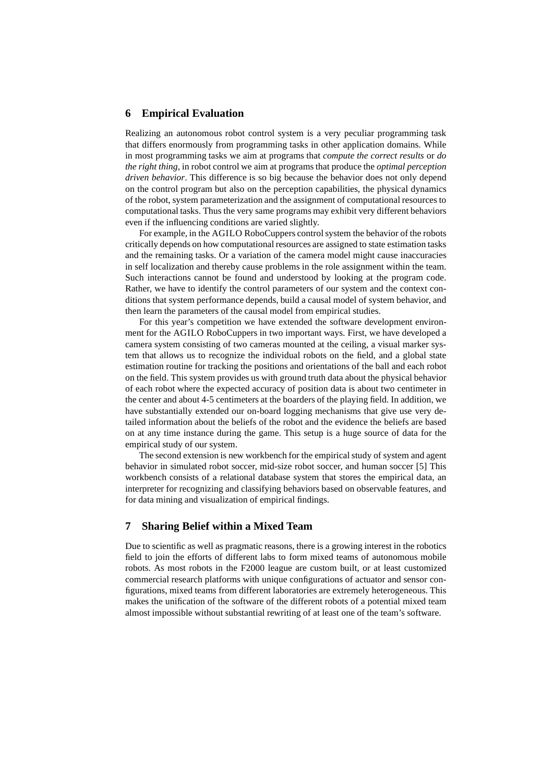#### **6 Empirical Evaluation**

Realizing an autonomous robot control system is a very peculiar programming task that differs enormously from programming tasks in other application domains. While in most programming tasks we aim at programs that *compute the correct results* or *do the right thing*, in robot control we aim at programs that produce the *optimal perception driven behavior*. This difference is so big because the behavior does not only depend on the control program but also on the perception capabilities, the physical dynamics of the robot, system parameterization and the assignment of computational resources to computational tasks. Thus the very same programs may exhibit very different behaviors even if the influencing conditions are varied slightly.

For example, in the AGILO RoboCuppers controlsystem the behavior of the robots critically depends on how computational resources are assigned to state estimation tasks and the remaining tasks. Or a variation of the camera model might cause inaccuracies in self localization and thereby cause problems in the role assignment within the team. Such interactions cannot be found and understood by looking at the program code. Rather, we have to identify the control parameters of our system and the context conditions that system performance depends, build a causal model of system behavior, and then learn the parameters of the causal model from empirical studies.

For this year's competition we have extended the software development environment for the AGILO RoboCuppers in two important ways. First, we have developed a camera system consisting of two cameras mounted at the ceiling, a visual marker system that allows us to recognize the individual robots on the field, and a global state estimation routine for tracking the positions and orientations of the ball and each robot on the field. This system provides us with ground truth data about the physical behavior of each robot where the expected accuracy of position data is about two centimeter in the center and about 4-5 centimeters at the boarders of the playing field. In addition, we have substantially extended our on-board logging mechanisms that give use very detailed information about the beliefs of the robot and the evidence the beliefs are based on at any time instance during the game. This setup is a huge source of data for the empirical study of our system.

The second extension is new workbench for the empirical study of system and agent behavior in simulated robot soccer, mid-size robot soccer, and human soccer [5] This workbench consists of a relational database system that stores the empirical data, an interpreter for recognizing and classifying behaviors based on observable features, and for data mining and visualization of empirical findings.

## **7 Sharing Belief within a Mixed Team**

Due to scientific as well as pragmatic reasons, there is a growing interest in the robotics field to join the efforts of different labs to form mixed teams of autonomous mobile robots. As most robots in the F2000 league are custom built, or at least customized commercial research platforms with unique configurations of actuator and sensor configurations, mixed teams from different laboratories are extremely heterogeneous. This makes the unification of the software of the different robots of a potential mixed team almost impossible without substantial rewriting of at least one of the team's software.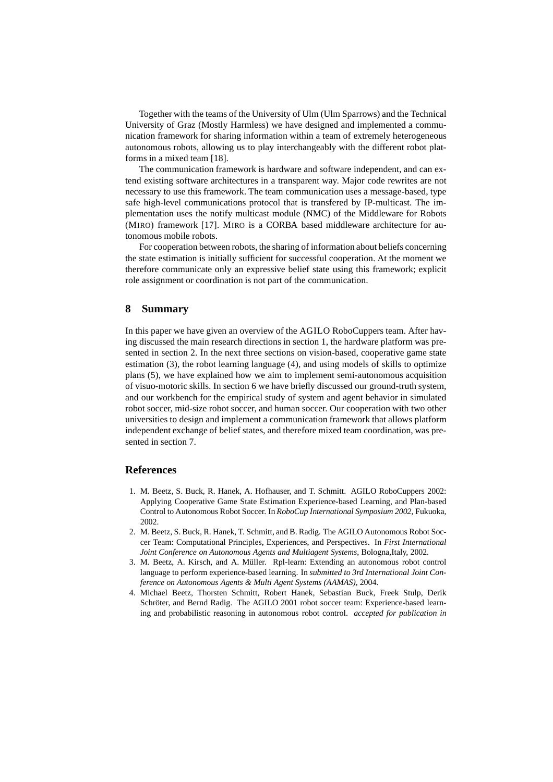Together with the teams of the University of Ulm (Ulm Sparrows) and the Technical University of Graz (Mostly Harmless) we have designed and implemented a communication framework for sharing information within a team of extremely heterogeneous autonomous robots, allowing us to play interchangeably with the different robot platforms in a mixed team [18].

The communication framework is hardware and software independent, and can extend existing software architectures in a transparent way. Major code rewrites are not necessary to use this framework. The team communication uses a message-based, type safe high-level communications protocol that is transfered by IP-multicast. The implementation uses the notify multicast module (NMC) of the Middleware for Robots (MIRO) framework [17]. MIRO is a CORBA based middleware architecture for autonomous mobile robots.

For cooperation between robots, the sharing of information about beliefs concerning the state estimation is initially sufficient for successful cooperation. At the moment we therefore communicate only an expressive belief state using this framework; explicit role assignment or coordination is not part of the communication.

#### **8 Summary**

In this paper we have given an overview of the AGILO RoboCuppers team. After having discussed the main research directions in section 1, the hardware platform was presented in section 2. In the next three sections on vision-based, cooperative game state estimation (3), the robot learning language (4), and using models of skills to optimize plans (5), we have explained how we aim to implement semi-autonomous acquisition of visuo-motoric skills. In section 6 we have briefly discussed our ground-truth system, and our workbench for the empirical study of system and agent behavior in simulated robot soccer, mid-size robot soccer, and human soccer. Our cooperation with two other universities to design and implement a communication framework that allows platform independent exchange of belief states, and therefore mixed team coordination, was presented in section 7.

#### **References**

- 1. M. Beetz, S. Buck, R. Hanek, A. Hofhauser, and T. Schmitt. AGILO RoboCuppers 2002: Applying Cooperative Game State Estimation Experience-based Learning, and Plan-based Control to Autonomous Robot Soccer. In *RoboCup International Symposium 2002*, Fukuoka, 2002.
- 2. M. Beetz, S. Buck, R. Hanek, T. Schmitt, and B. Radig. The AGILO Autonomous Robot Soccer Team: Computational Principles, Experiences, and Perspectives. In *First International Joint Conference on Autonomous Agents and Multiagent Systems*, Bologna,Italy, 2002.
- 3. M. Beetz, A. Kirsch, and A. Müller. Rpl-learn: Extending an autonomous robot control language to perform experience-based learning. In *submitted to 3rd International Joint Conference on Autonomous Agents & Multi Agent Systems (AAMAS)*, 2004.
- 4. Michael Beetz, Thorsten Schmitt, Robert Hanek, Sebastian Buck, Freek Stulp, Derik Schröter, and Bernd Radig. The AGILO 2001 robot soccer team: Experience-based learning and probabilistic reasoning in autonomous robot control. *accepted for publication in*